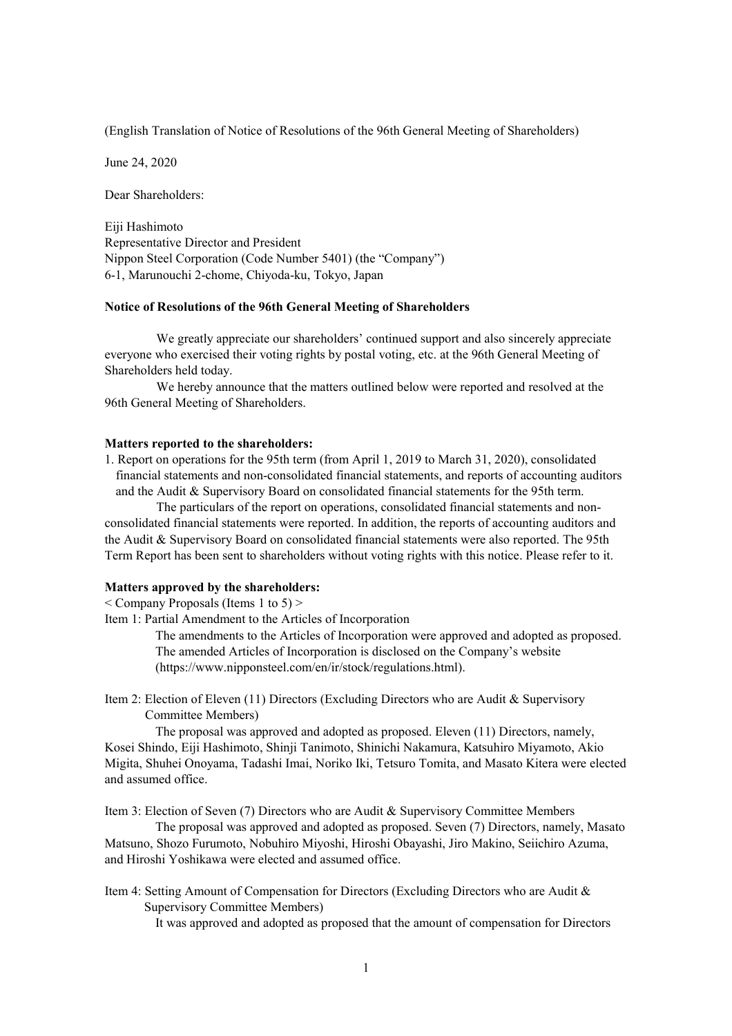(English Translation of Notice of Resolutions of the 96th General Meeting of Shareholders)

June 24, 2020

Dear Shareholders:

Eiji Hashimoto Representative Director and President Nippon Steel Corporation (Code Number 5401) (the "Company") 6-1, Marunouchi 2-chome, Chiyoda-ku, Tokyo, Japan

## **Notice of Resolutions of the 96th General Meeting of Shareholders**

We greatly appreciate our shareholders' continued support and also sincerely appreciate everyone who exercised their voting rights by postal voting, etc. at the 96th General Meeting of Shareholders held today.

We hereby announce that the matters outlined below were reported and resolved at the 96th General Meeting of Shareholders.

## **Matters reported to the shareholders:**

1. Report on operations for the 95th term (from April 1, 2019 to March 31, 2020), consolidated financial statements and non-consolidated financial statements, and reports of accounting auditors and the Audit & Supervisory Board on consolidated financial statements for the 95th term.

The particulars of the report on operations, consolidated financial statements and nonconsolidated financial statements were reported. In addition, the reports of accounting auditors and the Audit & Supervisory Board on consolidated financial statements were also reported. The 95th Term Report has been sent to shareholders without voting rights with this notice. Please refer to it.

## **Matters approved by the shareholders:**

< Company Proposals (Items 1 to 5) >

Item 1: Partial Amendment to the Articles of Incorporation

The amendments to the Articles of Incorporation were approved and adopted as proposed. The amended Articles of Incorporation is disclosed on the Company's website ([https://www.nipponsteel.com/en/ir/stock/regulations.html\).](https://www.nipponsteel.com/en/ir/stock/regulations.html)

Item 2: Election of Eleven (11) Directors (Excluding Directors who are Audit & Supervisory Committee Members)

The proposal was approved and adopted as proposed. Eleven (11) Directors, namely, Kosei Shindo, Eiji Hashimoto, Shinji Tanimoto, Shinichi Nakamura, Katsuhiro Miyamoto, Akio Migita, Shuhei Onoyama, Tadashi Imai, Noriko Iki, Tetsuro Tomita, and Masato Kitera were elected and assumed office.

Item 3: Election of Seven (7) Directors who are Audit & Supervisory Committee Members

The proposal was approved and adopted as proposed. Seven (7) Directors, namely, Masato Matsuno, Shozo Furumoto, Nobuhiro Miyoshi, Hiroshi Obayashi, Jiro Makino, Seiichiro Azuma, and Hiroshi Yoshikawa were elected and assumed office.

Item 4: Setting Amount of Compensation for Directors (Excluding Directors who are Audit & Supervisory Committee Members)

It was approved and adopted as proposed that the amount of compensation for Directors